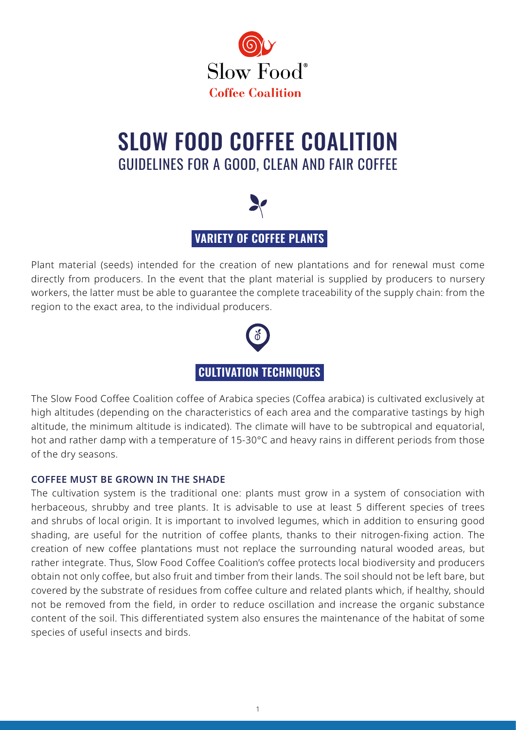

## SLOW FOOD COFFEE COALITION GUIDELINES FOR A GOOD, CLEAN AND FAIR COFFEE



 **VARIETY OF COFFEE PLANTS** 

Plant material (seeds) intended for the creation of new plantations and for renewal must come directly from producers. In the event that the plant material is supplied by producers to nursery workers, the latter must be able to guarantee the complete traceability of the supply chain: from the region to the exact area, to the individual producers.



The Slow Food Coffee Coalition coffee of Arabica species (Coffea arabica) is cultivated exclusively at high altitudes (depending on the characteristics of each area and the comparative tastings by high altitude, the minimum altitude is indicated). The climate will have to be subtropical and equatorial, hot and rather damp with a temperature of 15-30°C and heavy rains in different periods from those of the dry seasons.

#### **COFFEE MUST BE GROWN IN THE SHADE**

The cultivation system is the traditional one: plants must grow in a system of consociation with herbaceous, shrubby and tree plants. It is advisable to use at least 5 different species of trees and shrubs of local origin. It is important to involved legumes, which in addition to ensuring good shading, are useful for the nutrition of coffee plants, thanks to their nitrogen-fixing action. The creation of new coffee plantations must not replace the surrounding natural wooded areas, but rather integrate. Thus, Slow Food Coffee Coalition's coffee protects local biodiversity and producers obtain not only coffee, but also fruit and timber from their lands. The soil should not be left bare, but covered by the substrate of residues from coffee culture and related plants which, if healthy, should not be removed from the field, in order to reduce oscillation and increase the organic substance content of the soil. This differentiated system also ensures the maintenance of the habitat of some species of useful insects and birds.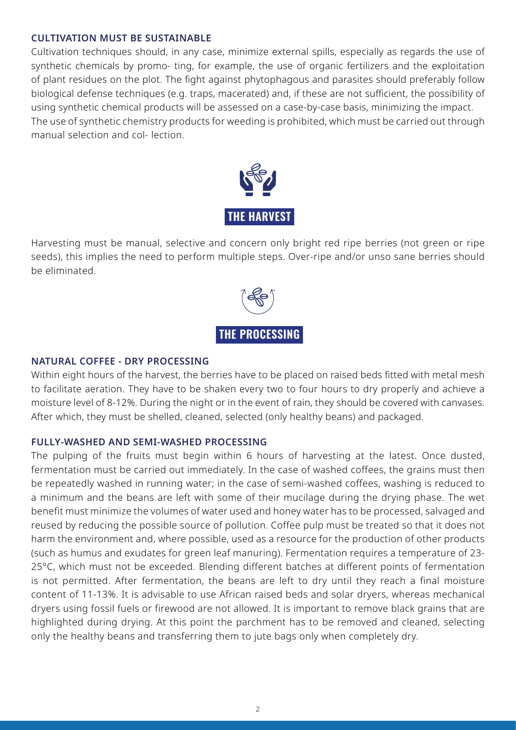#### **CULTIVATION MUST BE SUSTAINABLE**

Cultivation techniques should, in any case, minimize external spills, especially as regards the use of synthetic chemicals by promo- ting, for example, the use of organic fertilizers and the exploitation of plant residues on the plot. The fight against phytophagous and parasites should preferably follow biological defense techniques (e.g. traps, macerated) and, if these are not sufficient, the possibility of using synthetic chemical products will be assessed on a case-by-case basis, minimizing the impact. The use of synthetic chemistry products for weeding is prohibited, which must be carried out through manual selection and col- lection.



Harvesting must be manual, selective and concern only bright red ripe berries (not green or ripe seeds), this implies the need to perform multiple steps. Over-ripe and/or unso sane berries should be eliminated.



#### **NATURAL COFFEE - DRY PROCESSING**

Within eight hours of the harvest, the berries have to be placed on raised beds fitted with metal mesh to facilitate aeration. They have to be shaken every two to four hours to dry properly and achieve a moisture level of 8-12%. During the night or in the event of rain, they should be covered with canvases. After which, they must be shelled, cleaned, selected (only healthy beans) and packaged.

#### **FULLY-WASHED AND SEMI-WASHED PROCESSING**

The pulping of the fruits must begin within 6 hours of harvesting at the latest. Once dusted, fermentation must be carried out immediately. In the case of washed coffees, the grains must then be repeatedly washed in running water; in the case of semi-washed coffees, washing is reduced to a minimum and the beans are left with some of their mucilage during the drying phase. The wet benefit must minimize the volumes of water used and honey water has to be processed, salvaged and reused by reducing the possible source of pollution. Coffee pulp must be treated so that it does not harm the environment and, where possible, used as a resource for the production of other products (such as humus and exudates for green leaf manuring). Fermentation requires a temperature of 23- 25°C, which must not be exceeded. Blending different batches at different points of fermentation is not permitted. After fermentation, the beans are left to dry until they reach a final moisture content of 11-13%. It is advisable to use African raised beds and solar dryers, whereas mechanical dryers using fossil fuels or firewood are not allowed. It is important to remove black grains that are highlighted during drying. At this point the parchment has to be removed and cleaned, selecting only the healthy beans and transferring them to jute bags only when completely dry.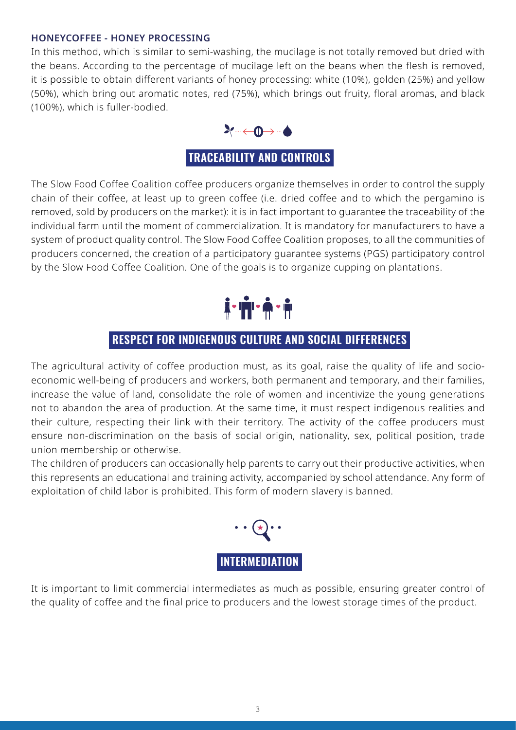#### **HONEYCOFFEE - HONEY PROCESSING**

In this method, which is similar to semi-washing, the mucilage is not totally removed but dried with the beans. According to the percentage of mucilage left on the beans when the flesh is removed, it is possible to obtain different variants of honey processing: white (10%), golden (25%) and yellow (50%), which bring out aromatic notes, red (75%), which brings out fruity, floral aromas, and black (100%), which is fuller-bodied.



The Slow Food Coffee Coalition coffee producers organize themselves in order to control the supply chain of their coffee, at least up to green coffee (i.e. dried coffee and to which the pergamino is removed, sold by producers on the market): it is in fact important to guarantee the traceability of the individual farm until the moment of commercialization. It is mandatory for manufacturers to have a system of product quality control. The Slow Food Coffee Coalition proposes, to all the communities of producers concerned, the creation of a participatory guarantee systems (PGS) participatory control by the Slow Food Coffee Coalition. One of the goals is to organize cupping on plantations.



### **RESPECT FOR INDIGENOUS CULTURE AND SOCIAL DIFFERENCES**

The agricultural activity of coffee production must, as its goal, raise the quality of life and socioeconomic well-being of producers and workers, both permanent and temporary, and their families, increase the value of land, consolidate the role of women and incentivize the young generations not to abandon the area of production. At the same time, it must respect indigenous realities and their culture, respecting their link with their territory. The activity of the coffee producers must ensure non-discrimination on the basis of social origin, nationality, sex, political position, trade union membership or otherwise.

The children of producers can occasionally help parents to carry out their productive activities, when this represents an educational and training activity, accompanied by school attendance. Any form of exploitation of child labor is prohibited. This form of modern slavery is banned.



It is important to limit commercial intermediates as much as possible, ensuring greater control of the quality of coffee and the final price to producers and the lowest storage times of the product.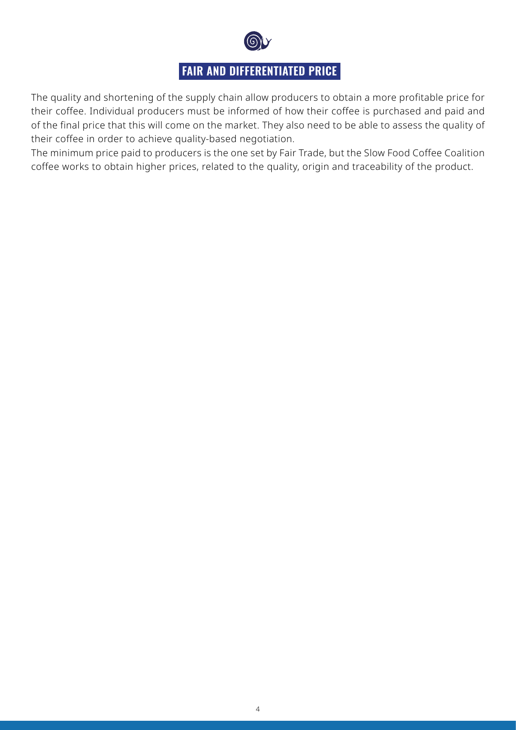

## **FAIR AND DIFFERENTIATED PRICE**

The quality and shortening of the supply chain allow producers to obtain a more profitable price for their coffee. Individual producers must be informed of how their coffee is purchased and paid and of the final price that this will come on the market. They also need to be able to assess the quality of their coffee in order to achieve quality-based negotiation.

The minimum price paid to producers is the one set by Fair Trade, but the Slow Food Coffee Coalition coffee works to obtain higher prices, related to the quality, origin and traceability of the product.